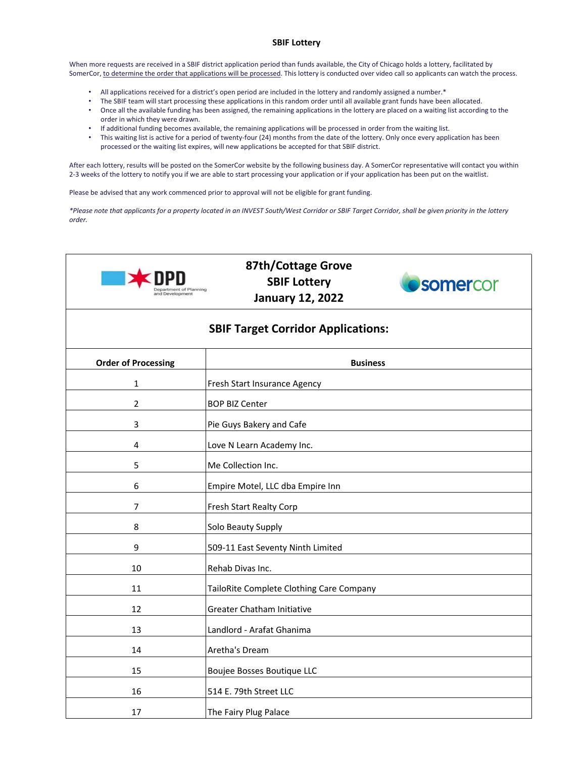## **SBIF Lottery**

When more requests are received in a SBIF district application period than funds available, the City of Chicago holds a lottery, facilitated by SomerCor, to determine the order that applications will be processed. This lottery is conducted over video call so applicants can watch the process.

- All applications received for a district's open period are included in the lottery and randomly assigned a number.\*
- The SBIF team will start processing these applications in this random order until all available grant funds have been allocated.<br>• Once all the available funding has been assigned, the remaining applications in the lette • Once all the available funding has been assigned, the remaining applications in the lottery are placed on a waiting list according to the
- order in which they were drawn. • If additional funding becomes available, the remaining applications will be processed in order from the waiting list.
- This waiting list is active for a period of twenty-four (24) months from the date of the lottery. Only once every application has been processed or the waiting list expires, will new applications be accepted for that SBIF district.

After each lottery, results will be posted on the SomerCor website by the following business day. A SomerCor representative will contact you within 2-3 weeks of the lottery to notify you if we are able to start processing your application or if your application has been put on the waitlist.

Please be advised that any work commenced prior to approval will not be eligible for grant funding.

*\*Please note that applicants for a property located in an INVEST South/West Corridor or SBIF Target Corridor, shall be given priority in the lottery order.*



## **87th/Cottage Grove SBIF Lottery January 12, 2022**



## **SBIF Target Corridor Applications:**

| <b>Order of Processing</b> | <b>Business</b>                          |
|----------------------------|------------------------------------------|
| 1                          | Fresh Start Insurance Agency             |
| $\overline{2}$             | <b>BOP BIZ Center</b>                    |
| 3                          | Pie Guys Bakery and Cafe                 |
| 4                          | Love N Learn Academy Inc.                |
| 5                          | Me Collection Inc.                       |
| 6                          | Empire Motel, LLC dba Empire Inn         |
| $\overline{7}$             | Fresh Start Realty Corp                  |
| 8                          | Solo Beauty Supply                       |
| 9                          | 509-11 East Seventy Ninth Limited        |
| 10                         | Rehab Divas Inc.                         |
| 11                         | TailoRite Complete Clothing Care Company |
| 12                         | <b>Greater Chatham Initiative</b>        |
| 13                         | Landlord - Arafat Ghanima                |
| 14                         | Aretha's Dream                           |
| 15                         | Boujee Bosses Boutique LLC               |
| 16                         | 514 E. 79th Street LLC                   |
| 17                         | The Fairy Plug Palace                    |